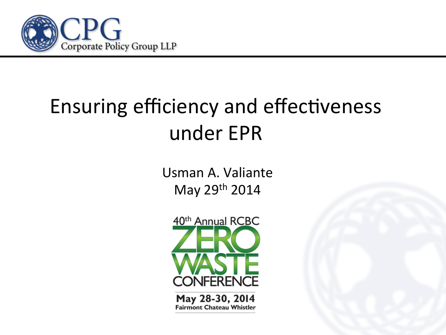

#### Ensuring efficiency and effectiveness under EPR

Usman A. Valiante May 29<sup>th</sup> 2014



May 28-30, 2014 **Fairmont Chateau Whistler**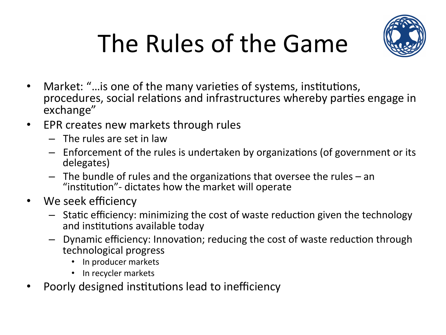



- Market: "... is one of the many varieties of systems, institutions, procedures, social relations and infrastructures whereby parties engage in exchange"
- EPR creates new markets through rules
	- $-$  The rules are set in law
	- $-$  Enforcement of the rules is undertaken by organizations (of government or its delegates)
	- $-$  The bundle of rules and the organizations that oversee the rules  $-$  an "institution"- dictates how the market will operate
- We seek efficiency
	- $-$  Static efficiency: minimizing the cost of waste reduction given the technology and institutions available today
	- Dynamic efficiency: Innovation; reducing the cost of waste reduction through technological progress
		- In producer markets
		- In recycler markets
- Poorly designed institutions lead to inefficiency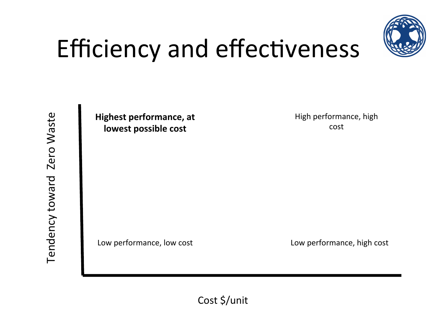

#### Efficiency and effectiveness

**Highest performance, at lowest possible cost** 

High performance, high cost 

Low performance, low cost Low performance, high cost 

Cost \$/unit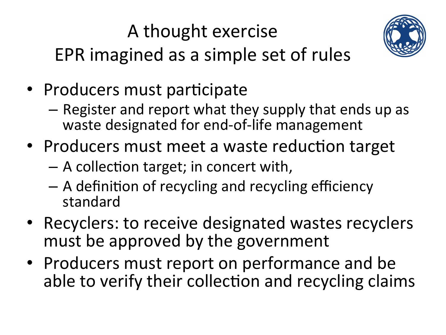#### A thought exercise EPR imagined as a simple set of rules



- Producers must participate
	- $-$  Register and report what they supply that ends up as waste designated for end-of-life management
- Producers must meet a waste reduction target
	- A collec0on target; in concert with,
	- $-$  A definition of recycling and recycling efficiency standard
- Recyclers: to receive designated wastes recyclers must be approved by the government
- Producers must report on performance and be able to verify their collection and recycling claims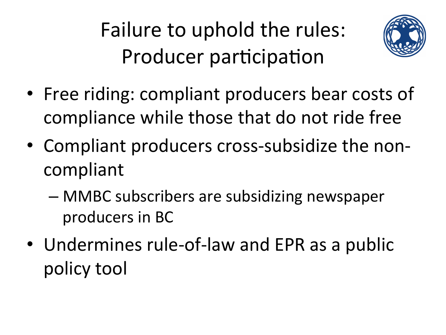Failure to uphold the rules: Producer participation



- Free riding: compliant producers bear costs of compliance while those that do not ride free
- Compliant producers cross-subsidize the noncompliant
	- MMBC subscribers are subsidizing newspaper producers in BC
- Undermines rule-of-law and EPR as a public policy tool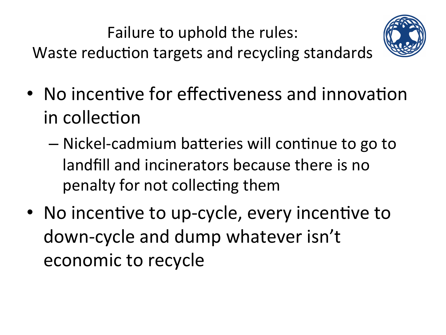Failure to uphold the rules:

Waste reduction targets and recycling standards



- No incentive for effectiveness and innovation in collection
	- $-$  Nickel-cadmium batteries will continue to go to landfill and incinerators because there is no penalty for not collecting them
- No incentive to up-cycle, every incentive to down-cycle and dump whatever isn't economic to recycle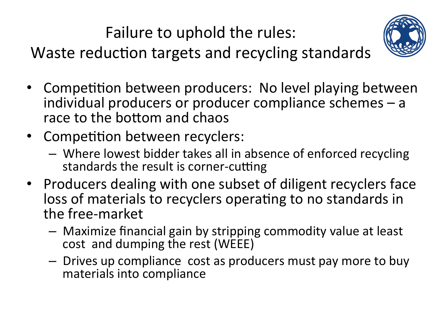Failure to uphold the rules:

Waste reduction targets and recycling standards



- Competition between producers: No level playing between individual producers or producer compliance schemes  $-$  a race to the bottom and chaos
- Competition between recyclers:
	- Where lowest bidder takes all in absence of enforced recycling standards the result is corner-cutting
- Producers dealing with one subset of diligent recyclers face loss of materials to recyclers operating to no standards in the free-market
	- $-$  Maximize financial gain by stripping commodity value at least cost and dumping the rest (WEEE)
	- $-$  Drives up compliance cost as producers must pay more to buy materials into compliance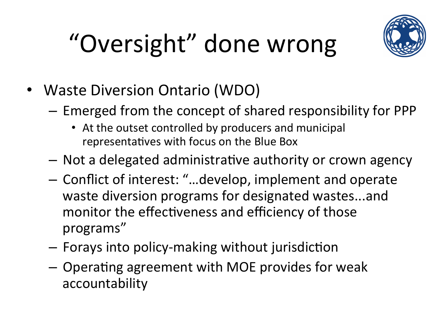# "Oversight" done wrong



- Waste Diversion Ontario (WDO)
	- $-$  Emerged from the concept of shared responsibility for PPP
		- At the outset controlled by producers and municipal representatives with focus on the Blue Box
	- $-$  Not a delegated administrative authority or crown agency
	- $-$  Conflict of interest: "...develop, implement and operate waste diversion programs for designated wastes...and monitor the effectiveness and efficiency of those programs"
	- $-$  Forays into policy-making without jurisdiction
	- $-$  Operating agreement with MOE provides for weak accountability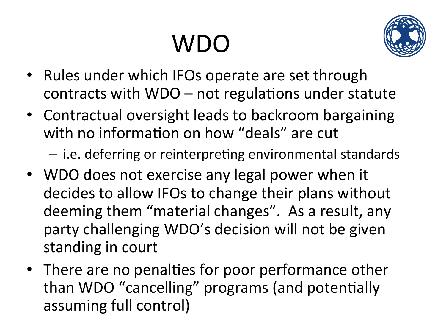## WDO



- Rules under which IFOs operate are set through contracts with  $WDO - not$  regulations under statute
- Contractual oversight leads to backroom bargaining with no information on how "deals" are cut

 $-$  i.e. deferring or reinterpreting environmental standards

- WDO does not exercise any legal power when it decides to allow IFOs to change their plans without deeming them "material changes". As a result, any party challenging WDO's decision will not be given standing in court
- There are no penalties for poor performance other than WDO "cancelling" programs (and potentially assuming full control)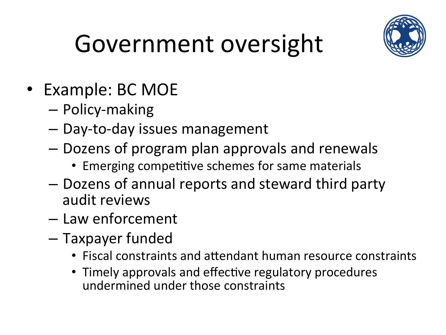

## Government oversight

- Example: BC MOE
	- Policy-making
	- $-$  Day-to-day issues management
	- $-$  Dozens of program plan approvals and renewals
		- Emerging competitive schemes for same materials
	- Dozens of annual reports and steward third party audit reviews
	- Law enforcement
	- Taxpayer funded
		- Fiscal constraints and attendant human resource constraints
		- Timely approvals and effective regulatory procedures undermined under those constraints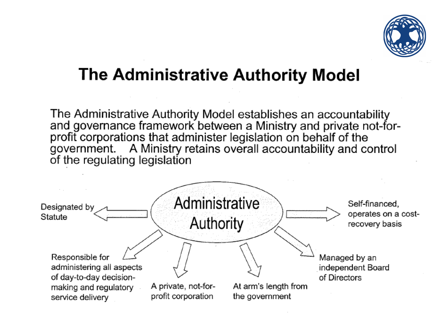

#### The Administrative Authority Model

The Administrative Authority Model establishes an accountability and governance framework between a Ministry and private not-forprofit corporations that administer legislation on behalf of the government. A Ministry retains overall accountability and control of the regulating legislation

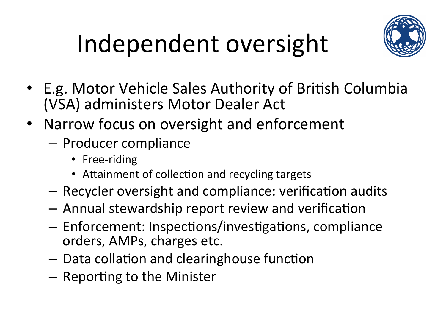# Independent oversight



- E.g. Motor Vehicle Sales Authority of British Columbia (VSA) administers Motor Dealer Act
- Narrow focus on oversight and enforcement
	- Producer compliance
		- Free-riding
		- Attainment of collection and recycling targets
	- $-$  Recycler oversight and compliance: verification audits
	- $-$  Annual stewardship report review and verification
	- $-$  Enforcement: Inspections/investigations, compliance orders, AMPs, charges etc.
	- $-$  Data collation and clearinghouse function
	- $-$  Reporting to the Minister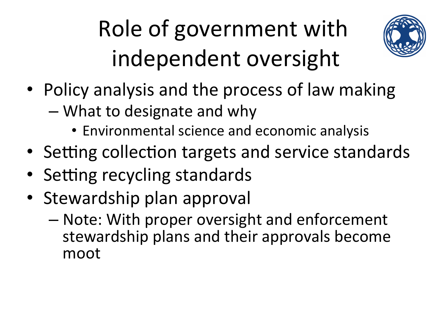### Role of government with independent oversight



- Policy analysis and the process of law making
	- What to designate and why
		- Environmental science and economic analysis
- Setting collection targets and service standards
- Setting recycling standards
- Stewardship plan approval
	- Note: With proper oversight and enforcement stewardship plans and their approvals become moot